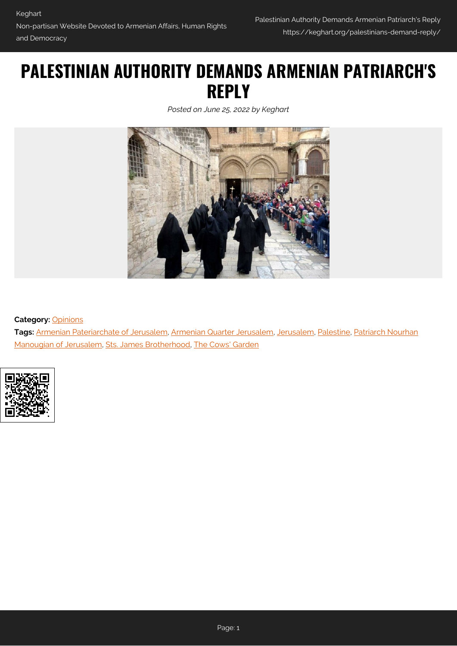# **PALESTINIAN AUTHORITY DEMANDS ARMENIAN PATRIARCH'S REPLY**

*Posted on June 25, 2022 by Keghart*



#### **Category:** [Opinions](https://keghart.org/category/opinions/)

**Tags:** [Armenian Pateriarchate of Jerusalem](https://keghart.org/tag/armenian-pateriarchate-of-jerusalem/), [Armenian Quarter Jerusalem](https://keghart.org/tag/armenian-quarter-jerusalem/), [Jerusalem](https://keghart.org/tag/jerusalem/), [Palestine](https://keghart.org/tag/palestine/), [Patriarch Nourhan](https://keghart.org/tag/patriarch-nourhan-manougian-of-jerusalem/) [Manougian of Jerusalem,](https://keghart.org/tag/patriarch-nourhan-manougian-of-jerusalem/) [Sts. James Brotherhood,](https://keghart.org/tag/sts-james-brotherhood/) [The Cows' Garden](https://keghart.org/tag/the-cows-garden/)

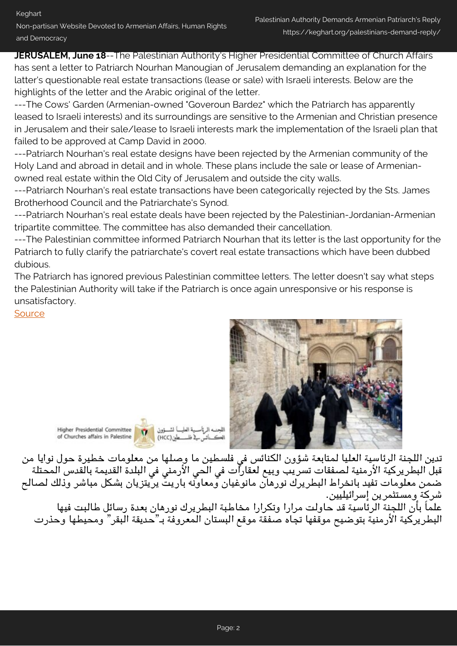**JERUSALEM, June 18--The Palestinian Authority's Higher Presidential Committee of Church Affairs** has sent a letter to Patriarch Nourhan Manougian of Jerusalem demanding an explanation for the latter's questionable real estate transactions (lease or sale) with Israeli interests. Below are the highlights of the letter and the Arabic original of the letter.

---The Cows' Garden (Armenian-owned "Goveroun Bardez" which the Patriarch has apparently leased to Israeli interests) and its surroundings are sensitive to the Armenian and Christian presence in Jerusalem and their sale/lease to Israeli interests mark the implementation of the Israeli plan that failed to be approved at Camp David in 2000.

---Patriarch Nourhan's real estate designs have been rejected by the Armenian community of the Holy Land and abroad in detail and in whole. These plans include the sale or lease of Armenianowned real estate within the Old City of Jerusalem and outside the city walls.

---Patriarch Nourhan's real estate transactions have been categorically rejected by the Sts. James Brotherhood Council and the Patriarchate's Synod.

---Patriarch Nourhan's real estate deals have been rejected by the Palestinian-Jordanian-Armenian tripartite committee. The committee has also demanded their cancellation.

---The Palestinian committee informed Patriarch Nourhan that its letter is the last opportunity for the Patriarch to fully clarify the patriarchate's covert real estate transactions which have been dubbed dubious.

The Patriarch has ignored previous Palestinian committee letters. The letter doesn't say what steps the Palestinian Authority will take if the Patriarch is once again unresponsive or his response is unsatisfactory.

**[Source](https://hcc.plo.ps/archives/7893)** 



Higher Presidential Committee of Churches affairs in Palestine

اللجنمه الرئاسمية العليسا لشسؤون الڪشائس کے فلسسطين (HCC) ||

تدين اللجنة الرئاسية العليا لمتابعة شؤون الكنائس في فلسطين ما وصلها من معلومات خطيرة حول نوايا من قبل البطريركية الأرمنية لصفقات تسريب وبيع لعقارات في الحي الأرمني في البلدة القديمة بالقدس المحتلة ضمن معلومات تفيد بانخراط البطريرك نورهان مانوغيان ومعاونه باريت يريتزيان بشكل مباشر وذلك لصىالح شركة ومستثمرين إسرائيليين.

علماً بأن اللجنة الرئاسية قد حاولت مرارا وتكرارا مخاطبة البطريرك نورهان بعدة رسائل طالبت فيها البطريركية الأرمنية بتوضيح موقفها تجاه صفقة موقع البستان المعروفة بـ"حديقة البقر" ومحيطها وحذرت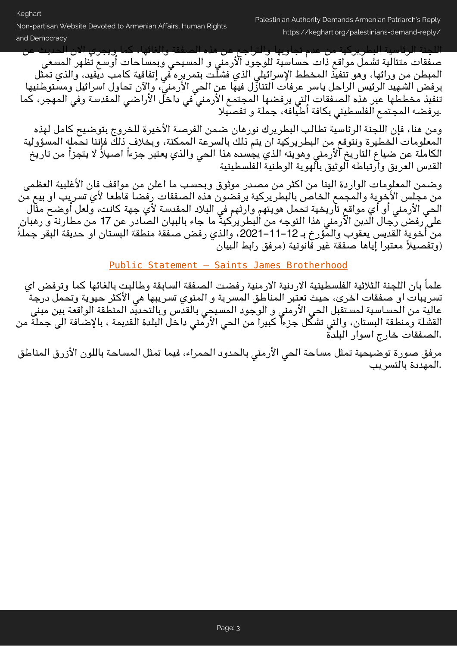Non-partisan Website Devoted to Armenian Affairs, Human Rights and Democracy

اللجنة الرئاسية البطريركية من عدم تجاوبها والتراجع عن هذه الصفقة والغائها، كما ويجري الان الحديث عن صفقات متتالية تشمل مواقع ذات حساسية للوجود الأرمنى و المسيحى وبمساحات اوسع تظهر المسعى المبطن من ورائها، وهو تنفيذ المخطط الإسرائيلي الذي فشلّت بتمريره في إتفاقية كامب ديفيد، والذي تمثّل برفض الشهيد الرئيس الراحل ياسر عرفات التنازل فيها عن الحى الأرمني، والآن تحاول اسرائيل ومستوطنيها تنفيذ مخططها عبر هذه الصفقات التي يرفضها المجتمع الأرمني في داخل الأراضي المقدسة وفى المهجر، كما .يرفضه المجتمع الفلسطينى بكافة أطيّافه، جملة و تفصيلا

ومن هنا، فإن اللجنة الرئاسية تطالب البطريرك نورهان ضمن الفرصة الأخيرة للخروج بتوضيح كامل لهذه المعلومات الخطيرة ونتوقع من البطريركية ان يتم ذلك بالسرعة الممنة، وبخلاف ذلك فإننا نحمله المسؤولية الكاملة عن ضياع التاريخ الأرمنى وهويته الذي يجسده هذا الحى والذي يعتبر جزءاً اصيلاً لا يتجزأ من تاريخ القدس العريق وارتباطه الوثيق بالهوية الوطنية الفلسطينية

وضمن المعلومات الواردة الينا من اكثر من مصدر موثوق وبحسب ما اعلن من مواقف فان الأغلبية العظم من مجلس الأخوية والمجمع الخاص بالبطريركية يرفضون هذه الصفقات رفضا قاطعا لأي تسريب او بيع من الحّى الأرمني أو أي مواقع تاريخية تحمل هويتهم وارثهم في البلاد المقدسة لأي جهة كانت، ولعل أوضح مثّال على رفض رجال الدين الأرمني هذا التوجه من البطريركية ما جاء بالبيان الصادر عن 17 من مطارنة و رهبان من أخوية القديس يعقوب والمَّؤرخ بـ 12–11–2021، والذي رفض صفقة منطقة البستان او حديقة البقر جملةً (وتفصيلا معتبرا إياها صفقة غير قانونية (مرفق رابط البيان

[Public Statement – Saints James Brotherhood](https://keghart.org/statement-saint-james-brotherhood/)

علماً بان اللجنة الثلاثية الفلسطينية الاردنية الارمنية رفضت الصفقة السابقة وطالبت بالغائها كما وترفض اي تسريبات او صفقات اخرى، حيث تعتبر المناطق المسربة و المنوي تسريبها هى الأكثر حيوية وتحمل درجة عالية من الحساسية لمستقبل الحي الأرمني و الوجود المسيحي بالقدس وبالتحديد المنطقة الواقعة بين مبنى القشلة ومنطقة البستان، والتي تشكّل جزءاً كبيرا من الحي الأرمني داخل البلدة القديمة ، بالإضافة الى جملة من .الصفقات خارج اسوار البلدة

مرفق صورة توضيحية تمثل مساحة الحي الأرمني بالحدود الحمراء، فيما تمثل المساحة باللون الأزرق المناطق .المهددة بالتسريب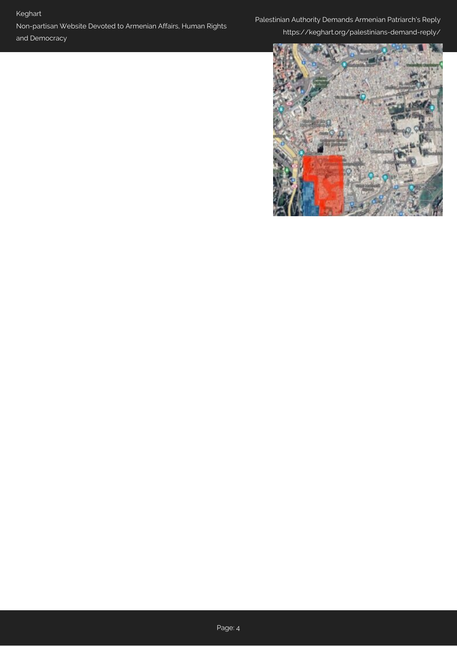and Democracy

Non-partisan Website Devoted to Armenian Affairs, Human Rights

Palestinian Authority Demands Armenian Patriarch's Reply https://keghart.org/palestinians-demand-reply/

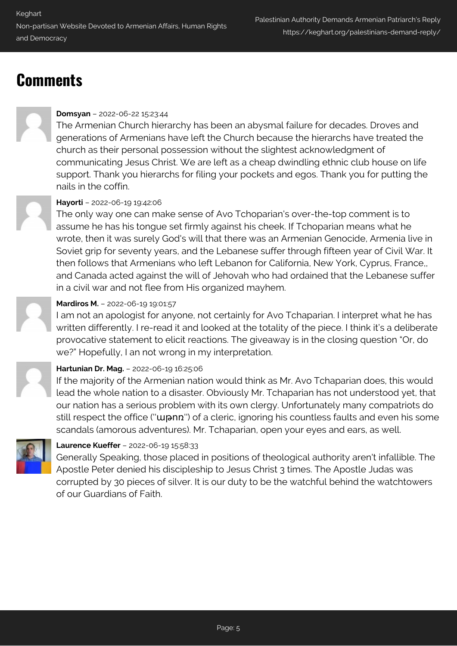# **Comments**

# **Domsyan** – 2022-06-22 15:23:44

The Armenian Church hierarchy has been an abysmal failure for decades. Droves and generations of Armenians have left the Church because the hierarchs have treated the church as their personal possession without the slightest acknowledgment of communicating Jesus Christ. We are left as a cheap dwindling ethnic club house on life support. Thank you hierarchs for filing your pockets and egos. Thank you for putting the nails in the coffin.

## **Hayorti** – 2022-06-19 19:42:06

The only way one can make sense of Avo Tchoparian's over-the-top comment is to assume he has his tongue set firmly against his cheek. If Tchoparian means what he wrote, then it was surely God's will that there was an Armenian Genocide, Armenia live in Soviet grip for seventy years, and the Lebanese suffer through fifteen year of Civil War. It then follows that Armenians who left Lebanon for California, New York, Cyprus, France,, and Canada acted against the will of Jehovah who had ordained that the Lebanese suffer in a civil war and not flee from His organized mayhem.



# **Mardiros M.** – 2022-06-19 19:01:57

I am not an apologist for anyone, not certainly for Avo Tchaparian. I interpret what he has written differently. I re-read it and looked at the totality of the piece. I think it's a deliberate provocative statement to elicit reactions. The giveaway is in the closing question "Or, do we?" Hopefully, I an not wrong in my interpretation.



# **Hartunian Dr. Mag.** – 2022-06-19 16:25:06

If the majority of the Armenian nation would think as Mr. Avo Tchaparian does, this would lead the whole nation to a disaster. Obviously Mr. Tchaparian has not understood yet, that our nation has a serious problem with its own clergy. Unfortunately many compatriots do still respect the office ("**upnn**") of a cleric, ignoring his countless faults and even his some scandals (amorous adventures). Mr. Tchaparian, open your eyes and ears, as well.



## **Laurence Kueffer** – 2022-06-19 15:58:33

Generally Speaking, those placed in positions of theological authority aren't infallible. The Apostle Peter denied his discipleship to Jesus Christ 3 times. The Apostle Judas was corrupted by 30 pieces of silver. It is our duty to be the watchful behind the watchtowers of our Guardians of Faith.